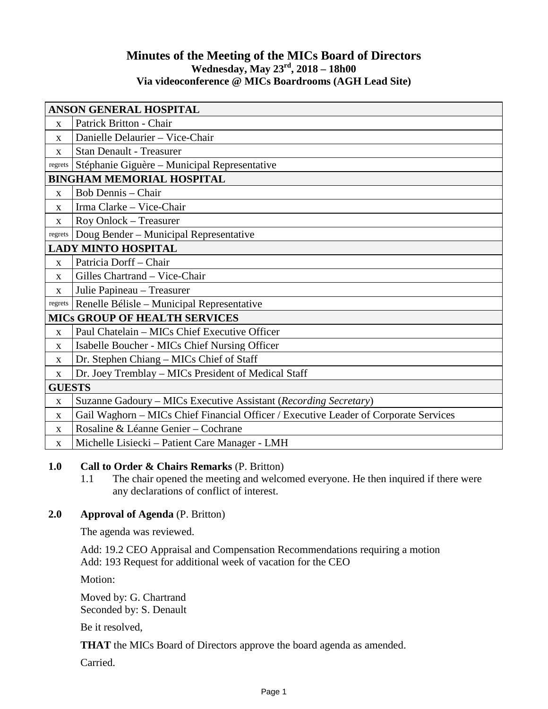## **Minutes of the Meeting of the MICs Board of Directors Wednesday, May 23rd, 2018 – 18h00 Via videoconference @ MICs Boardrooms (AGH Lead Site)**

| <b>ANSON GENERAL HOSPITAL</b>        |                                                                                      |
|--------------------------------------|--------------------------------------------------------------------------------------|
| $\mathbf{X}$                         | Patrick Britton - Chair                                                              |
| X                                    | Danielle Delaurier - Vice-Chair                                                      |
| $\mathbf{X}$                         | <b>Stan Denault - Treasurer</b>                                                      |
| regrets                              | Stéphanie Giguère – Municipal Representative                                         |
| <b>BINGHAM MEMORIAL HOSPITAL</b>     |                                                                                      |
| $\mathbf{X}$                         | <b>Bob Dennis - Chair</b>                                                            |
| $\mathbf{x}$                         | Irma Clarke - Vice-Chair                                                             |
| X                                    | Roy Onlock - Treasurer                                                               |
| regrets                              | Doug Bender - Municipal Representative                                               |
| <b>LADY MINTO HOSPITAL</b>           |                                                                                      |
| $\mathbf{X}$                         | Patricia Dorff - Chair                                                               |
| X                                    | Gilles Chartrand - Vice-Chair                                                        |
| $\mathbf X$                          | Julie Papineau – Treasurer                                                           |
| regrets                              | Renelle Bélisle - Municipal Representative                                           |
| <b>MICS GROUP OF HEALTH SERVICES</b> |                                                                                      |
| X                                    | Paul Chatelain - MICs Chief Executive Officer                                        |
| X                                    | Isabelle Boucher - MICs Chief Nursing Officer                                        |
| $\mathbf{X}$                         | Dr. Stephen Chiang – MICs Chief of Staff                                             |
| X                                    | Dr. Joey Tremblay - MICs President of Medical Staff                                  |
| <b>GUESTS</b>                        |                                                                                      |
| $\mathbf X$                          | Suzanne Gadoury – MICs Executive Assistant (Recording Secretary)                     |
| X                                    | Gail Waghorn - MICs Chief Financial Officer / Executive Leader of Corporate Services |
| X                                    | Rosaline & Léanne Genier - Cochrane                                                  |
| X                                    | Michelle Lisiecki – Patient Care Manager - LMH                                       |

## **1.0 Call to Order & Chairs Remarks** (P. Britton)

1.1 The chair opened the meeting and welcomed everyone. He then inquired if there were any declarations of conflict of interest.

### **2.0 Approval of Agenda** (P. Britton)

The agenda was reviewed.

Add: 19.2 CEO Appraisal and Compensation Recommendations requiring a motion Add: 193 Request for additional week of vacation for the CEO

Motion:

Moved by: G. Chartrand Seconded by: S. Denault

Be it resolved,

**THAT** the MICs Board of Directors approve the board agenda as amended.

Carried.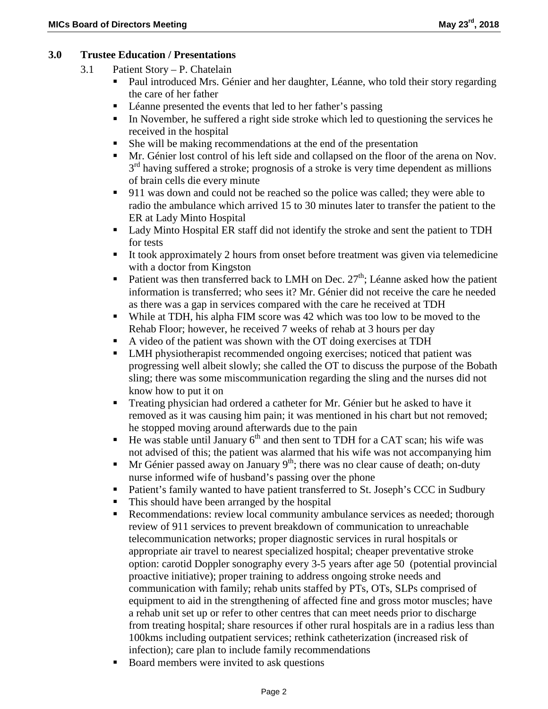### **3.0 Trustee Education / Presentations**

- 3.1 Patient Story P. Chatelain
	- Paul introduced Mrs. Génier and her daughter, Léanne, who told their story regarding the care of her father
	- Léanne presented the events that led to her father's passing
	- In November, he suffered a right side stroke which led to questioning the services he received in the hospital
	- She will be making recommendations at the end of the presentation
	- Mr. Génier lost control of his left side and collapsed on the floor of the arena on Nov.  $3<sup>rd</sup>$  having suffered a stroke; prognosis of a stroke is very time dependent as millions of brain cells die every minute
	- 911 was down and could not be reached so the police was called; they were able to radio the ambulance which arrived 15 to 30 minutes later to transfer the patient to the ER at Lady Minto Hospital
	- Lady Minto Hospital ER staff did not identify the stroke and sent the patient to TDH for tests
	- It took approximately 2 hours from onset before treatment was given via telemedicine with a doctor from Kingston
	- Patient was then transferred back to LMH on Dec.  $27<sup>th</sup>$ ; Léanne asked how the patient information is transferred; who sees it? Mr. Génier did not receive the care he needed as there was a gap in services compared with the care he received at TDH
	- While at TDH, his alpha FIM score was 42 which was too low to be moved to the Rehab Floor; however, he received 7 weeks of rehab at 3 hours per day
	- A video of the patient was shown with the OT doing exercises at TDH
	- LMH physiotherapist recommended ongoing exercises; noticed that patient was progressing well albeit slowly; she called the OT to discuss the purpose of the Bobath sling; there was some miscommunication regarding the sling and the nurses did not know how to put it on
	- Treating physician had ordered a catheter for Mr. Génier but he asked to have it removed as it was causing him pain; it was mentioned in his chart but not removed; he stopped moving around afterwards due to the pain
	- $\blacksquare$  He was stable until January 6<sup>th</sup> and then sent to TDH for a CAT scan; his wife was not advised of this; the patient was alarmed that his wife was not accompanying him
	- **Mr** Génier passed away on January  $9<sup>th</sup>$ ; there was no clear cause of death; on-duty nurse informed wife of husband's passing over the phone
	- Patient's family wanted to have patient transferred to St. Joseph's CCC in Sudbury
	- This should have been arranged by the hospital
	- Recommendations: review local community ambulance services as needed; thorough review of 911 services to prevent breakdown of communication to unreachable telecommunication networks; proper diagnostic services in rural hospitals or appropriate air travel to nearest specialized hospital; cheaper preventative stroke option: carotid Doppler sonography every 3-5 years after age 50 (potential provincial proactive initiative); proper training to address ongoing stroke needs and communication with family; rehab units staffed by PTs, OTs, SLPs comprised of equipment to aid in the strengthening of affected fine and gross motor muscles; have a rehab unit set up or refer to other centres that can meet needs prior to discharge from treating hospital; share resources if other rural hospitals are in a radius less than 100kms including outpatient services; rethink catheterization (increased risk of infection); care plan to include family recommendations
	- Board members were invited to ask questions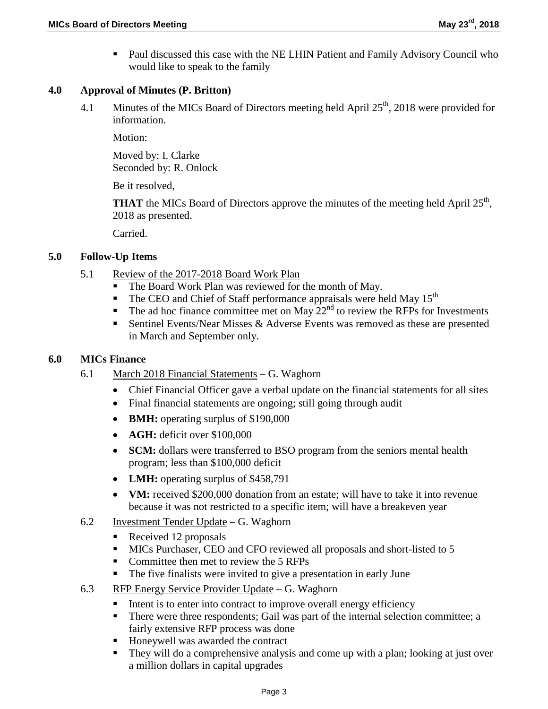**Paul discussed this case with the NE LHIN Patient and Family Advisory Council who** would like to speak to the family

### **4.0 Approval of Minutes (P. Britton)**

4.1 Minutes of the MICs Board of Directors meeting held April  $25<sup>th</sup>$ , 2018 were provided for information.

Motion:

Moved by: I. Clarke Seconded by: R. Onlock

Be it resolved,

**THAT** the MICs Board of Directors approve the minutes of the meeting held April  $25<sup>th</sup>$ , 2018 as presented.

Carried.

## **5.0 Follow-Up Items**

- 5.1 Review of the 2017-2018 Board Work Plan
	- The Board Work Plan was reviewed for the month of May.<br>The CEO and Chief of Staff performance annuals were help
	- The CEO and Chief of Staff performance appraisals were held May 15<sup>th</sup>
	- The ad hoc finance committee met on May  $22<sup>nd</sup>$  to review the RFPs for Investments
	- Sentinel Events/Near Misses  $&$  Adverse Events was removed as these are presented in March and September only.

### **6.0 MICs Finance**

- 6.1 March 2018 Financial Statements G. Waghorn
	- Chief Financial Officer gave a verbal update on the financial statements for all sites
	- Final financial statements are ongoing; still going through audit
	- **BMH:** operating surplus of \$190,000
	- **AGH:** deficit over \$100,000
	- **SCM:** dollars were transferred to BSO program from the seniors mental health program; less than \$100,000 deficit
	- **LMH:** operating surplus of \$458,791
	- **VM:** received \$200,000 donation from an estate; will have to take it into revenue because it was not restricted to a specific item; will have a breakeven year
- 6.2 Investment Tender Update G. Waghorn
	- Received 12 proposals
	- MICs Purchaser, CEO and CFO reviewed all proposals and short-listed to 5
	- Committee then met to review the 5 RFPs
	- The five finalists were invited to give a presentation in early June
- 6.3 RFP Energy Service Provider Update G. Waghorn
	- $\blacksquare$  Intent is to enter into contract to improve overall energy efficiency
	- There were three respondents; Gail was part of the internal selection committee; a fairly extensive RFP process was done
	- Honeywell was awarded the contract
	- They will do a comprehensive analysis and come up with a plan; looking at just over a million dollars in capital upgrades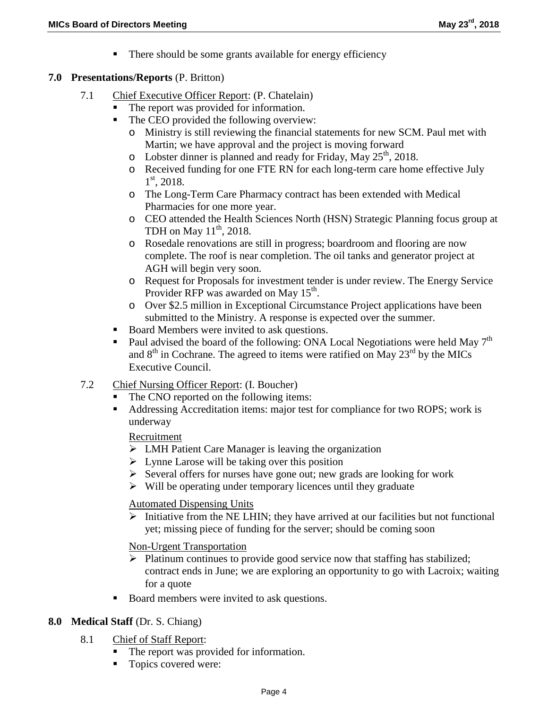• There should be some grants available for energy efficiency

### **7.0 Presentations/Reports** (P. Britton)

- 7.1 Chief Executive Officer Report: (P. Chatelain)
	- The report was provided for information.
	- The CEO provided the following overview:
		- o Ministry is still reviewing the financial statements for new SCM. Paul met with Martin; we have approval and the project is moving forward
		- o Lobster dinner is planned and ready for Friday, May  $25<sup>th</sup>$ , 2018.
		- o Received funding for one FTE RN for each long-term care home effective July  $1<sup>st</sup>$ , 2018.
		- o The Long-Term Care Pharmacy contract has been extended with Medical Pharmacies for one more year.
		- o CEO attended the Health Sciences North (HSN) Strategic Planning focus group at TDH on May  $11<sup>th</sup>$ , 2018.
		- o Rosedale renovations are still in progress; boardroom and flooring are now complete. The roof is near completion. The oil tanks and generator project at AGH will begin very soon.
		- o Request for Proposals for investment tender is under review. The Energy Service Provider RFP was awarded on May  $15^{th}$ .
		- o Over \$2.5 million in Exceptional Circumstance Project applications have been submitted to the Ministry. A response is expected over the summer.
	- Board Members were invited to ask questions.
	- Paul advised the board of the following: ONA Local Negotiations were held May  $7<sup>th</sup>$ and  $8<sup>th</sup>$  in Cochrane. The agreed to items were ratified on May 23<sup>rd</sup> by the MICs Executive Council.
- 7.2 Chief Nursing Officer Report: (I. Boucher)
	- The CNO reported on the following items:
	- Addressing Accreditation items: major test for compliance for two ROPS; work is underway

Recruitment

- $\triangleright$  LMH Patient Care Manager is leaving the organization
- $\triangleright$  Lynne Larose will be taking over this position
- $\triangleright$  Several offers for nurses have gone out; new grads are looking for work
- $\triangleright$  Will be operating under temporary licences until they graduate

Automated Dispensing Units

 $\triangleright$  Initiative from the NE LHIN; they have arrived at our facilities but not functional yet; missing piece of funding for the server; should be coming soon

Non-Urgent Transportation

- $\triangleright$  Platinum continues to provide good service now that staffing has stabilized; contract ends in June; we are exploring an opportunity to go with Lacroix; waiting for a quote
- Board members were invited to ask questions.

## **8.0 Medical Staff** (Dr. S. Chiang)

- 8.1 Chief of Staff Report:
	- The report was provided for information.
	- Topics covered were: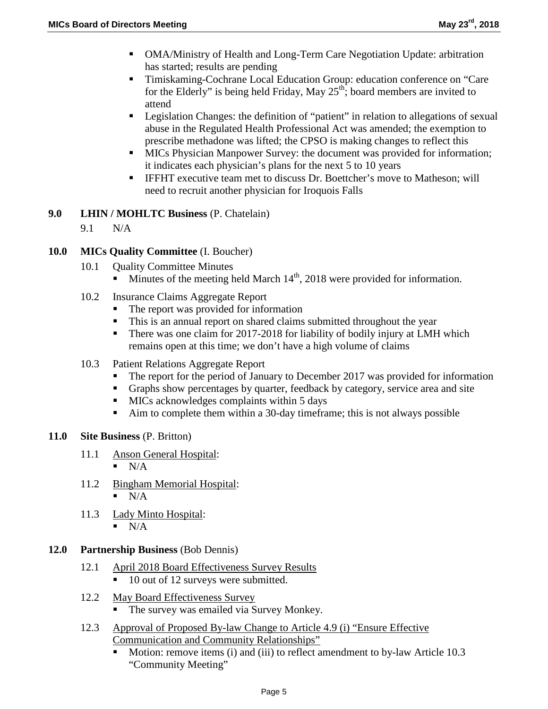- OMA/Ministry of Health and Long-Term Care Negotiation Update: arbitration has started; results are pending
- Timiskaming-Cochrane Local Education Group: education conference on "Care" for the Elderly" is being held Friday, May  $25<sup>th</sup>$ ; board members are invited to attend
- Legislation Changes: the definition of "patient" in relation to allegations of sexual abuse in the Regulated Health Professional Act was amended; the exemption to prescribe methadone was lifted; the CPSO is making changes to reflect this
- MICs Physician Manpower Survey: the document was provided for information; it indicates each physician's plans for the next 5 to 10 years
- **IFFHT** executive team met to discuss Dr. Boettcher's move to Matheson; will need to recruit another physician for Iroquois Falls

# **9.0 LHIN / MOHLTC Business** (P. Chatelain)

9.1 N/A

# **10.0 MICs Quality Committee** (I. Boucher)

- 10.1 Ouality Committee Minutes
	- Minutes of the meeting held March  $14<sup>th</sup>$ , 2018 were provided for information.
- 10.2 Insurance Claims Aggregate Report
	- The report was provided for information
	- This is an annual report on shared claims submitted throughout the year
	- There was one claim for 2017-2018 for liability of bodily injury at LMH which remains open at this time; we don't have a high volume of claims
- 10.3 Patient Relations Aggregate Report
	- The report for the period of January to December 2017 was provided for information
	- Graphs show percentages by quarter, feedback by category, service area and site
	- $\blacksquare$  MICs acknowledges complaints within 5 days
	- Aim to complete them within a 30-day timeframe; this is not always possible

## **11.0 Site Business** (P. Britton)

- 11.1 Anson General Hospital:
	- $N/A$
- 11.2 Bingham Memorial Hospital:
	- $\blacksquare$  N/A
- 11.3 Lady Minto Hospital:
	- $\blacksquare$  N/A

# **12.0 Partnership Business** (Bob Dennis)

- 12.1 April 2018 Board Effectiveness Survey Results
	- 10 out of 12 surveys were submitted.
- 12.2 May Board Effectiveness Survey
	- The survey was emailed via Survey Monkey.
- 12.3 Approval of Proposed By-law Change to Article 4.9 (i) "Ensure Effective Communication and Community Relationships"
	- Motion: remove items (i) and (iii) to reflect amendment to by-law Article 10.3 "Community Meeting"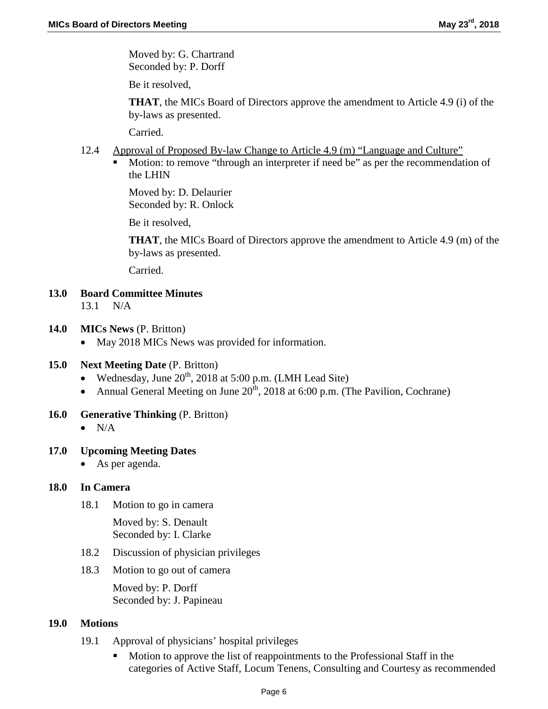Moved by: G. Chartrand Seconded by: P. Dorff

Be it resolved,

**THAT**, the MICs Board of Directors approve the amendment to Article 4.9 (i) of the by-laws as presented.

Carried.

- 12.4 Approval of Proposed By-law Change to Article 4.9 (m) "Language and Culture"
	- Motion: to remove "through an interpreter if need be" as per the recommendation of the LHIN

Moved by: D. Delaurier Seconded by: R. Onlock

Be it resolved,

**THAT**, the MICs Board of Directors approve the amendment to Article 4.9 (m) of the by-laws as presented.

Carried.

- **13.0 Board Committee Minutes** 13.1 N/A
- **14.0 MICs News** (P. Britton)
	- May 2018 MICs News was provided for information.

## **15.0 Next Meeting Date** (P. Britton)

- Wednesday, June  $20^{th}$ , 2018 at 5:00 p.m. (LMH Lead Site)
- Annual General Meeting on June  $20^{th}$ , 2018 at 6:00 p.m. (The Pavilion, Cochrane)
- **16.0 Generative Thinking** (P. Britton)
	- $\bullet$  N/A

## **17.0 Upcoming Meeting Dates**

• As per agenda.

#### **18.0 In Camera**

18.1 Motion to go in camera

Moved by: S. Denault Seconded by: I. Clarke

- 18.2 Discussion of physician privileges
- 18.3 Motion to go out of camera

Moved by: P. Dorff Seconded by: J. Papineau

#### **19.0 Motions**

- 19.1 Approval of physicians' hospital privileges
	- Motion to approve the list of reappointments to the Professional Staff in the categories of Active Staff, Locum Tenens, Consulting and Courtesy as recommended